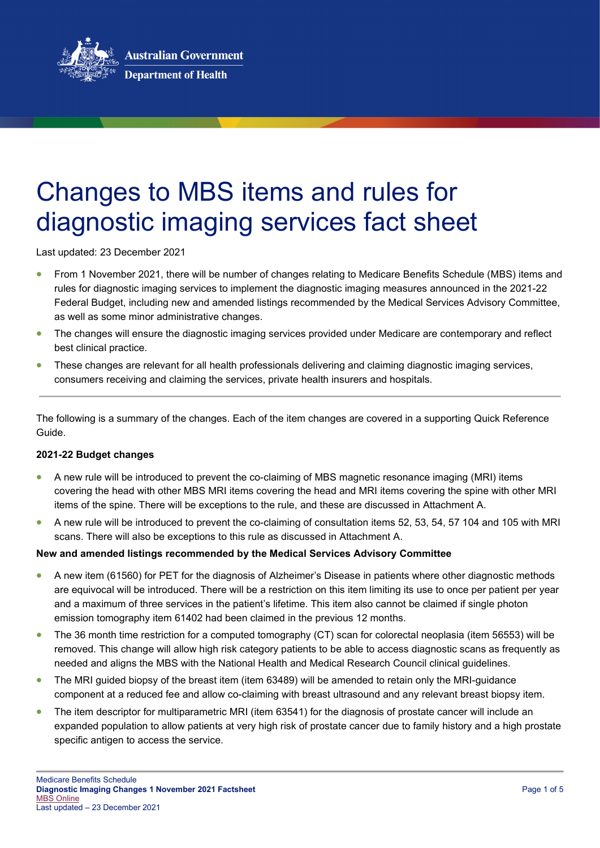

# Changes to MBS items and rules for diagnostic imaging services fact sheet

Last updated: 23 December 2021

- From 1 November 2021, there will be number of changes relating to Medicare Benefits Schedule (MBS) items and rules for diagnostic imaging services to implement the diagnostic imaging measures announced in the 2021-22 Federal Budget, including new and amended listings recommended by the Medical Services Advisory Committee, as well as some minor administrative changes.
- The changes will ensure the diagnostic imaging services provided under Medicare are contemporary and reflect best clinical practice.
- These changes are relevant for all health professionals delivering and claiming diagnostic imaging services, consumers receiving and claiming the services, private health insurers and hospitals.

The following is a summary of the changes. Each of the item changes are covered in a supporting Quick Reference Guide.

## **2021-22 Budget changes**

- A new rule will be introduced to prevent the co-claiming of MBS magnetic resonance imaging (MRI) items covering the head with other MBS MRI items covering the head and MRI items covering the spine with other MRI items of the spine. There will be exceptions to the rule, and these are discussed in Attachment A.
- A new rule will be introduced to prevent the co-claiming of consultation items 52, 53, 54, 57 104 and 105 with MRI scans. There will also be exceptions to this rule as discussed in Attachment A.

## **New and amended listings recommended by the Medical Services Advisory Committee**

- A new item (61560) for PET for the diagnosis of Alzheimer's Disease in patients where other diagnostic methods are equivocal will be introduced. There will be a restriction on this item limiting its use to once per patient per year and a maximum of three services in the patient's lifetime. This item also cannot be claimed if single photon emission tomography item 61402 had been claimed in the previous 12 months.
- The 36 month time restriction for a computed tomography (CT) scan for colorectal neoplasia (item 56553) will be removed. This change will allow high risk category patients to be able to access diagnostic scans as frequently as needed and aligns the MBS with the National Health and Medical Research Council clinical guidelines.
- The MRI guided biopsy of the breast item (item 63489) will be amended to retain only the MRI-guidance component at a reduced fee and allow co-claiming with breast ultrasound and any relevant breast biopsy item.
- The item descriptor for multiparametric MRI (item 63541) for the diagnosis of prostate cancer will include an expanded population to allow patients at very high risk of prostate cancer due to family history and a high prostate specific antigen to access the service.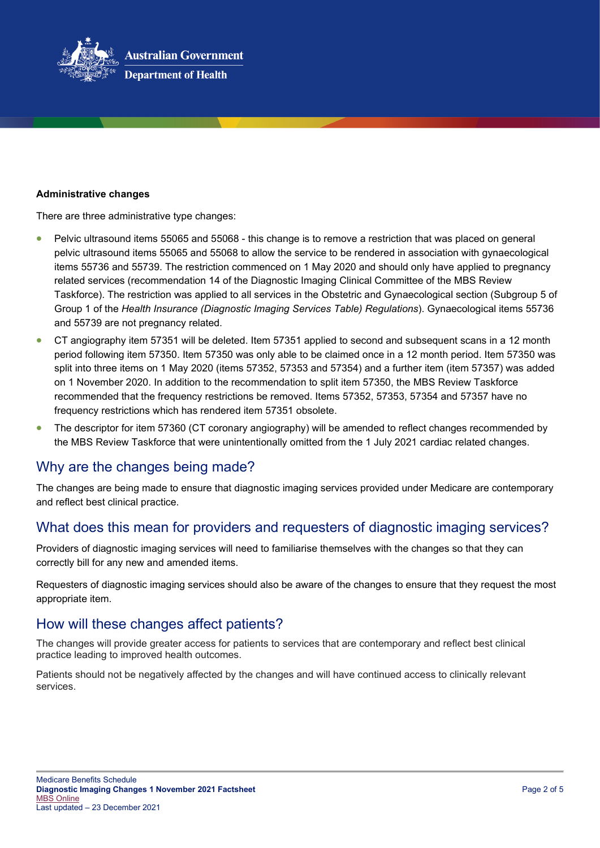

#### **Administrative changes**

There are three administrative type changes:

- Pelvic ultrasound items 55065 and 55068 this change is to remove a restriction that was placed on general pelvic ultrasound items 55065 and 55068 to allow the service to be rendered in association with gynaecological items 55736 and 55739. The restriction commenced on 1 May 2020 and should only have applied to pregnancy related services (recommendation 14 of the Diagnostic Imaging Clinical Committee of the MBS Review Taskforce). The restriction was applied to all services in the Obstetric and Gynaecological section (Subgroup 5 of Group 1 of the *Health Insurance (Diagnostic Imaging Services Table) Regulations*). Gynaecological items 55736 and 55739 are not pregnancy related.
- CT angiography item 57351 will be deleted. Item 57351 applied to second and subsequent scans in a 12 month period following item 57350. Item 57350 was only able to be claimed once in a 12 month period. Item 57350 was split into three items on 1 May 2020 (items 57352, 57353 and 57354) and a further item (item 57357) was added on 1 November 2020. In addition to the recommendation to split item 57350, the MBS Review Taskforce recommended that the frequency restrictions be removed. Items 57352, 57353, 57354 and 57357 have no frequency restrictions which has rendered item 57351 obsolete.
- The descriptor for item 57360 (CT coronary angiography) will be amended to reflect changes recommended by the MBS Review Taskforce that were unintentionally omitted from the 1 July 2021 cardiac related changes.

# Why are the changes being made?

The changes are being made to ensure that diagnostic imaging services provided under Medicare are contemporary and reflect best clinical practice.

# What does this mean for providers and requesters of diagnostic imaging services?

Providers of diagnostic imaging services will need to familiarise themselves with the changes so that they can correctly bill for any new and amended items.

Requesters of diagnostic imaging services should also be aware of the changes to ensure that they request the most appropriate item.

# How will these changes affect patients?

The changes will provide greater access for patients to services that are contemporary and reflect best clinical practice leading to improved health outcomes.

Patients should not be negatively affected by the changes and will have continued access to clinically relevant services.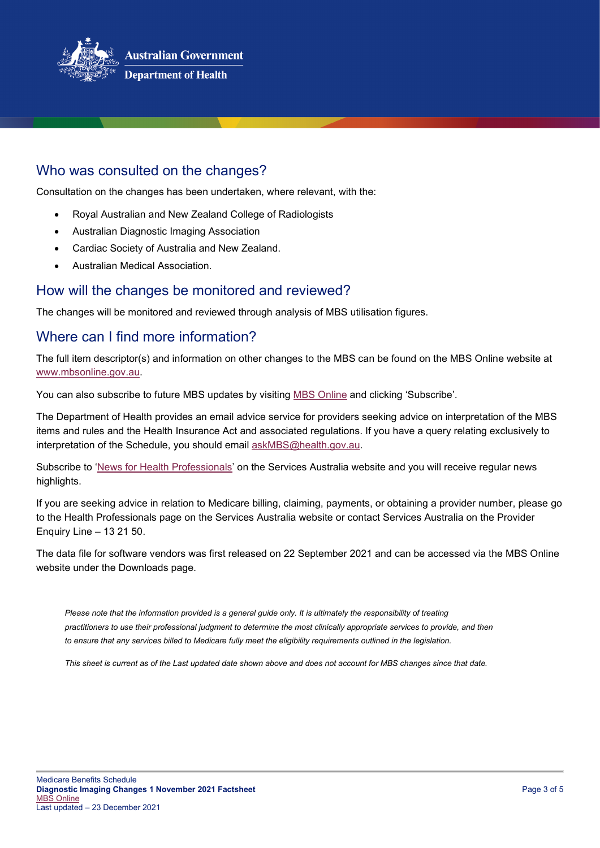

# Who was consulted on the changes?

Consultation on the changes has been undertaken, where relevant, with the:

- Royal Australian and New Zealand College of Radiologists
- Australian Diagnostic Imaging Association
- Cardiac Society of Australia and New Zealand.
- Australian Medical Association.

## How will the changes be monitored and reviewed?

The changes will be monitored and reviewed through analysis of MBS utilisation figures.

# Where can I find more information?

The full item descriptor(s) and information on other changes to the MBS can be found on the MBS Online website at [www.mbsonline.gov.au.](http://www.mbsonline.gov.au/)

You can also subscribe to future MBS updates by visiting [MBS Online](http://www.mbsonline.gov.au/) and clicking 'Subscribe'.

The Department of Health provides an email advice service for providers seeking advice on interpretation of the MBS items and rules and the Health Insurance Act and associated regulations. If you have a query relating exclusively to interpretation of the Schedule, you should email [askMBS@health.gov.au.](mailto:askMBS@health.gov.au)

Subscribe to ['News for Health Professionals'](https://www.humanservices.gov.au/organisations/health-professionals/news/all) on the Services Australia website and you will receive regular news highlights.

If you are seeking advice in relation to Medicare billing, claiming, payments, or obtaining a provider number, please go to the Health Professionals page on the Services Australia website or contact Services Australia on the Provider Enquiry Line – 13 21 50.

The data file for software vendors was first released on 22 September 2021 and can be accessed via the MBS Online website under the Downloads page.

*Please note that the information provided is a general guide only. It is ultimately the responsibility of treating practitioners to use their professional judgment to determine the most clinically appropriate services to provide, and then*  to ensure that any services billed to Medicare fully meet the eligibility requirements outlined in the legislation.

*This sheet is current as of the Last updated date shown above and does not account for MBS changes since that date.*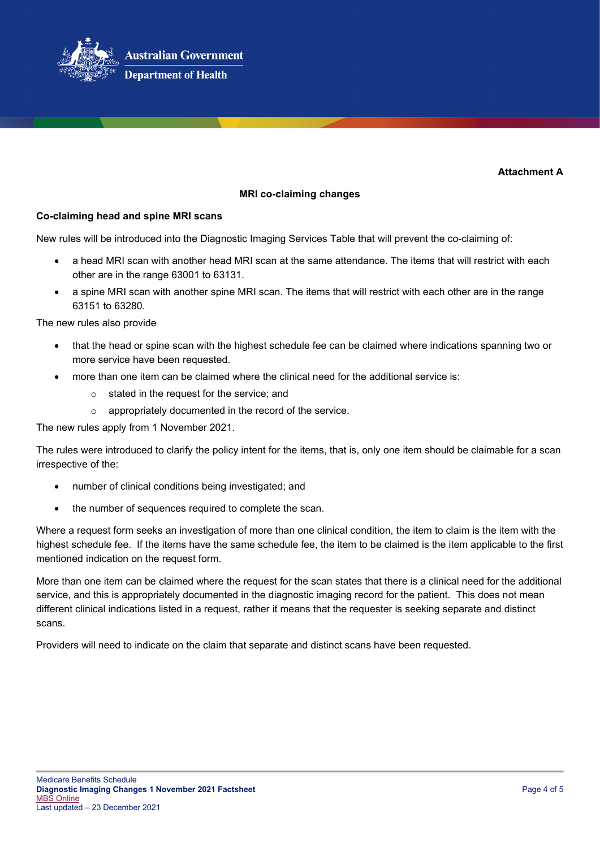

**Department of Health** 

**Attachment A**

## **MRI co-claiming changes**

## **Co-claiming head and spine MRI scans**

New rules will be introduced into the Diagnostic Imaging Services Table that will prevent the co-claiming of:

- a head MRI scan with another head MRI scan at the same attendance. The items that will restrict with each other are in the range 63001 to 63131.
- a spine MRI scan with another spine MRI scan. The items that will restrict with each other are in the range 63151 to 63280.

The new rules also provide

- that the head or spine scan with the highest schedule fee can be claimed where indications spanning two or more service have been requested.
- more than one item can be claimed where the clinical need for the additional service is:
	- o stated in the request for the service; and
	- o appropriately documented in the record of the service.

The new rules apply from 1 November 2021.

The rules were introduced to clarify the policy intent for the items, that is, only one item should be claimable for a scan irrespective of the:

- number of clinical conditions being investigated; and
- the number of sequences required to complete the scan.

Where a request form seeks an investigation of more than one clinical condition, the item to claim is the item with the highest schedule fee. If the items have the same schedule fee, the item to be claimed is the item applicable to the first mentioned indication on the request form.

More than one item can be claimed where the request for the scan states that there is a clinical need for the additional service, and this is appropriately documented in the diagnostic imaging record for the patient. This does not mean different clinical indications listed in a request, rather it means that the requester is seeking separate and distinct scans.

Providers will need to indicate on the claim that separate and distinct scans have been requested.